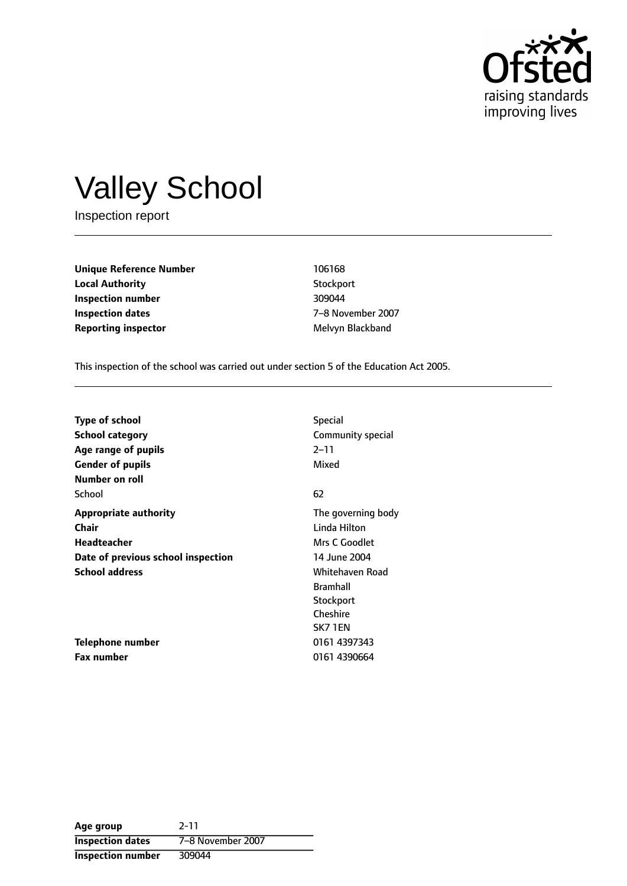

# Valley School

Inspection report

**Unique Reference Number** 106168 **Local Authority** Stockport **Inspection number** 309044 **Inspection dates** 7-8 November 2007 **Reporting inspector** Melvyn Blackband

This inspection of the school was carried out under section 5 of the Education Act 2005.

| <b>Type of school</b>              | <b>Special</b>     |
|------------------------------------|--------------------|
| School category                    | Community special  |
| Age range of pupils                | $2 - 11$           |
| <b>Gender of pupils</b>            | Mixed              |
| Number on roll                     |                    |
| School                             | 62                 |
| <b>Appropriate authority</b>       | The governing body |
| Chair                              | Linda Hilton       |
| <b>Headteacher</b>                 | Mrs C Goodlet      |
| Date of previous school inspection | 14 June 2004       |
| <b>School address</b>              | Whitehaven Road    |
|                                    | <b>Bramhall</b>    |
|                                    | Stockport          |
|                                    | Cheshire           |
|                                    | SK71EN             |
| Telephone number                   | 0161 4397343       |
| <b>Fax number</b>                  | 0161 4390664       |

**Age group** 2-11 **Inspection dates** 7-8 November 2007 **Inspection number** 309044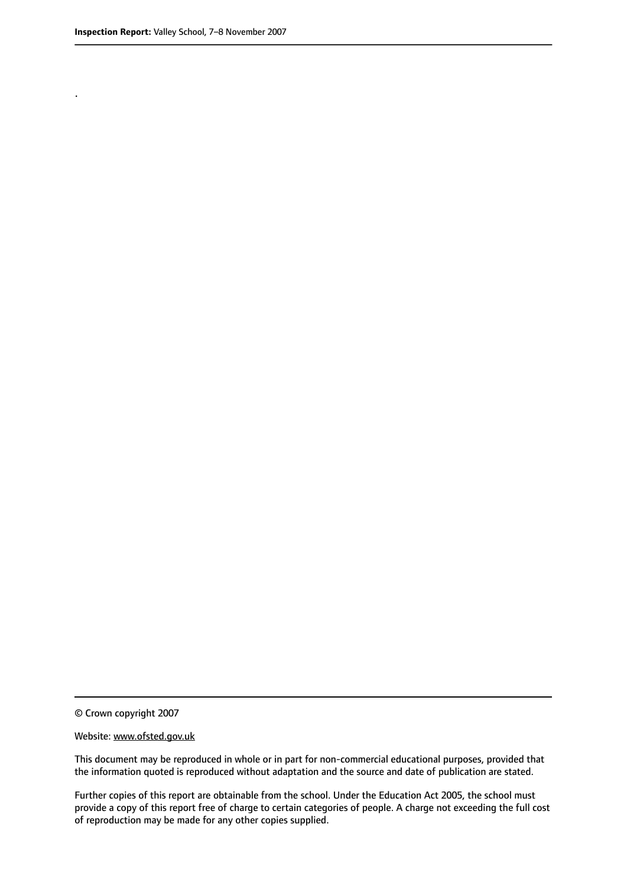.

© Crown copyright 2007

#### Website: www.ofsted.gov.uk

This document may be reproduced in whole or in part for non-commercial educational purposes, provided that the information quoted is reproduced without adaptation and the source and date of publication are stated.

Further copies of this report are obtainable from the school. Under the Education Act 2005, the school must provide a copy of this report free of charge to certain categories of people. A charge not exceeding the full cost of reproduction may be made for any other copies supplied.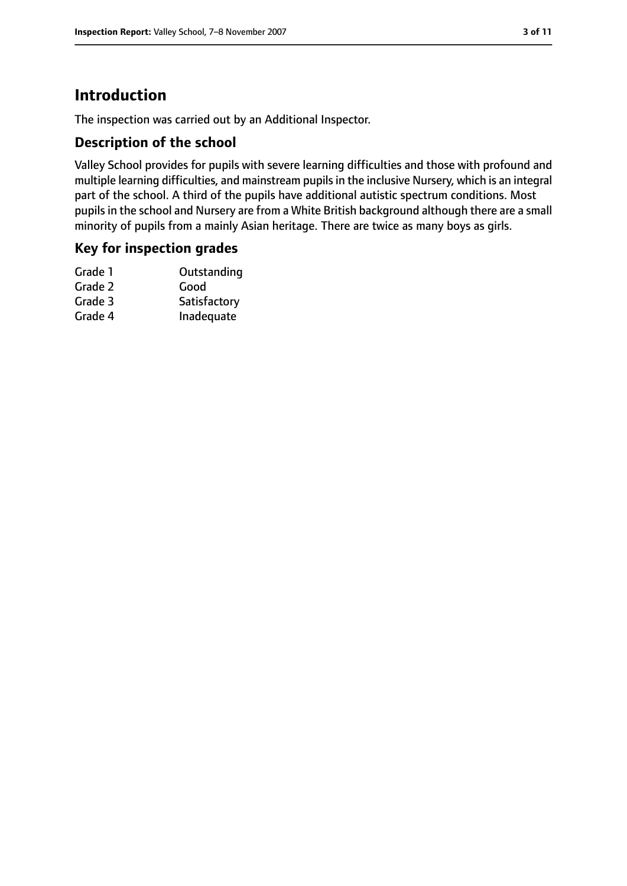# **Introduction**

The inspection was carried out by an Additional Inspector.

## **Description of the school**

Valley School provides for pupils with severe learning difficulties and those with profound and multiple learning difficulties, and mainstream pupils in the inclusive Nursery, which is an integral part of the school. A third of the pupils have additional autistic spectrum conditions. Most pupils in the school and Nursery are from a White British background although there are a small minority of pupils from a mainly Asian heritage. There are twice as many boys as girls.

## **Key for inspection grades**

| Grade 1 | Outstanding  |
|---------|--------------|
| Grade 2 | Good         |
| Grade 3 | Satisfactory |
| Grade 4 | Inadequate   |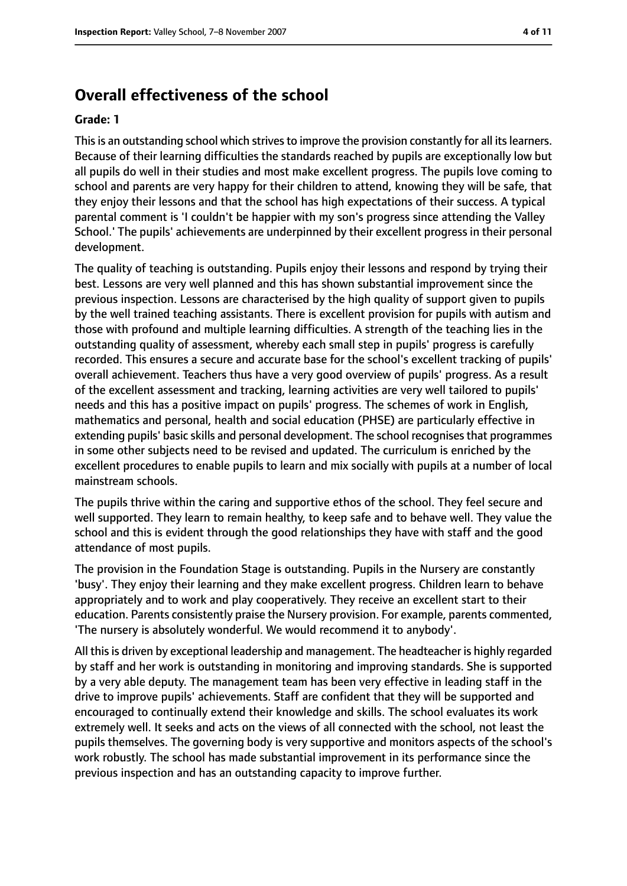# **Overall effectiveness of the school**

#### **Grade: 1**

This is an outstanding school which strives to improve the provision constantly for all its learners. Because of their learning difficulties the standards reached by pupils are exceptionally low but all pupils do well in their studies and most make excellent progress. The pupils love coming to school and parents are very happy for their children to attend, knowing they will be safe, that they enjoy their lessons and that the school has high expectations of their success. A typical parental comment is 'I couldn't be happier with my son's progress since attending the Valley School.' The pupils' achievements are underpinned by their excellent progress in their personal development.

The quality of teaching is outstanding. Pupils enjoy their lessons and respond by trying their best. Lessons are very well planned and this has shown substantial improvement since the previous inspection. Lessons are characterised by the high quality of support given to pupils by the well trained teaching assistants. There is excellent provision for pupils with autism and those with profound and multiple learning difficulties. A strength of the teaching lies in the outstanding quality of assessment, whereby each small step in pupils' progress is carefully recorded. This ensures a secure and accurate base for the school's excellent tracking of pupils' overall achievement. Teachers thus have a very good overview of pupils' progress. As a result of the excellent assessment and tracking, learning activities are very well tailored to pupils' needs and this has a positive impact on pupils' progress. The schemes of work in English, mathematics and personal, health and social education (PHSE) are particularly effective in extending pupils' basic skills and personal development. The school recognises that programmes in some other subjects need to be revised and updated. The curriculum is enriched by the excellent procedures to enable pupils to learn and mix socially with pupils at a number of local mainstream schools.

The pupils thrive within the caring and supportive ethos of the school. They feel secure and well supported. They learn to remain healthy, to keep safe and to behave well. They value the school and this is evident through the good relationships they have with staff and the good attendance of most pupils.

The provision in the Foundation Stage is outstanding. Pupils in the Nursery are constantly 'busy'. They enjoy their learning and they make excellent progress. Children learn to behave appropriately and to work and play cooperatively. They receive an excellent start to their education. Parents consistently praise the Nursery provision. For example, parents commented, 'The nursery is absolutely wonderful. We would recommend it to anybody'.

All thisis driven by exceptional leadership and management. The headteacher is highly regarded by staff and her work is outstanding in monitoring and improving standards. She is supported by a very able deputy. The management team has been very effective in leading staff in the drive to improve pupils' achievements. Staff are confident that they will be supported and encouraged to continually extend their knowledge and skills. The school evaluates its work extremely well. It seeks and acts on the views of all connected with the school, not least the pupils themselves. The governing body is very supportive and monitors aspects of the school's work robustly. The school has made substantial improvement in its performance since the previous inspection and has an outstanding capacity to improve further.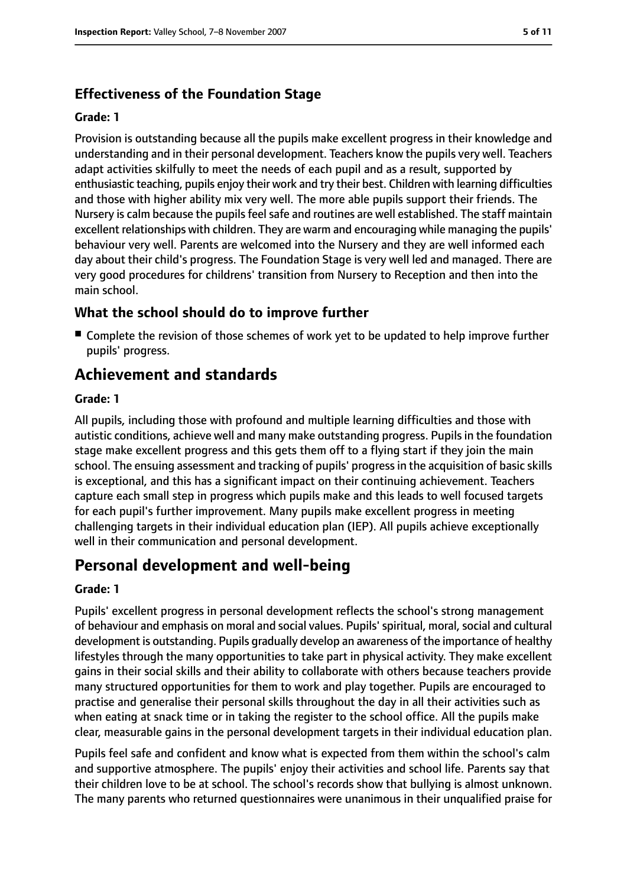# **Effectiveness of the Foundation Stage**

#### **Grade: 1**

Provision is outstanding because all the pupils make excellent progress in their knowledge and understanding and in their personal development. Teachers know the pupils very well. Teachers adapt activities skilfully to meet the needs of each pupil and as a result, supported by enthusiastic teaching, pupils enjoy their work and try their best. Children with learning difficulties and those with higher ability mix very well. The more able pupils support their friends. The Nursery is calm because the pupils feel safe and routines are well established. The staff maintain excellent relationships with children. They are warm and encouraging while managing the pupils' behaviour very well. Parents are welcomed into the Nursery and they are well informed each day about their child's progress. The Foundation Stage is very well led and managed. There are very good procedures for childrens' transition from Nursery to Reception and then into the main school.

## **What the school should do to improve further**

■ Complete the revision of those schemes of work yet to be updated to help improve further pupils' progress.

# **Achievement and standards**

#### **Grade: 1**

All pupils, including those with profound and multiple learning difficulties and those with autistic conditions, achieve well and many make outstanding progress. Pupils in the foundation stage make excellent progress and this gets them off to a flying start if they join the main school. The ensuing assessment and tracking of pupils' progressin the acquisition of basic skills is exceptional, and this has a significant impact on their continuing achievement. Teachers capture each small step in progress which pupils make and this leads to well focused targets for each pupil's further improvement. Many pupils make excellent progress in meeting challenging targets in their individual education plan (IEP). All pupils achieve exceptionally well in their communication and personal development.

# **Personal development and well-being**

#### **Grade: 1**

Pupils' excellent progress in personal development reflects the school's strong management of behaviour and emphasis on moral and social values. Pupils' spiritual, moral, social and cultural development is outstanding. Pupils gradually develop an awareness of the importance of healthy lifestyles through the many opportunities to take part in physical activity. They make excellent gains in their social skills and their ability to collaborate with others because teachers provide many structured opportunities for them to work and play together. Pupils are encouraged to practise and generalise their personal skills throughout the day in all their activities such as when eating at snack time or in taking the register to the school office. All the pupils make clear, measurable gains in the personal development targets in their individual education plan.

Pupils feel safe and confident and know what is expected from them within the school's calm and supportive atmosphere. The pupils' enjoy their activities and school life. Parents say that their children love to be at school. The school's records show that bullying is almost unknown. The many parents who returned questionnaires were unanimous in their unqualified praise for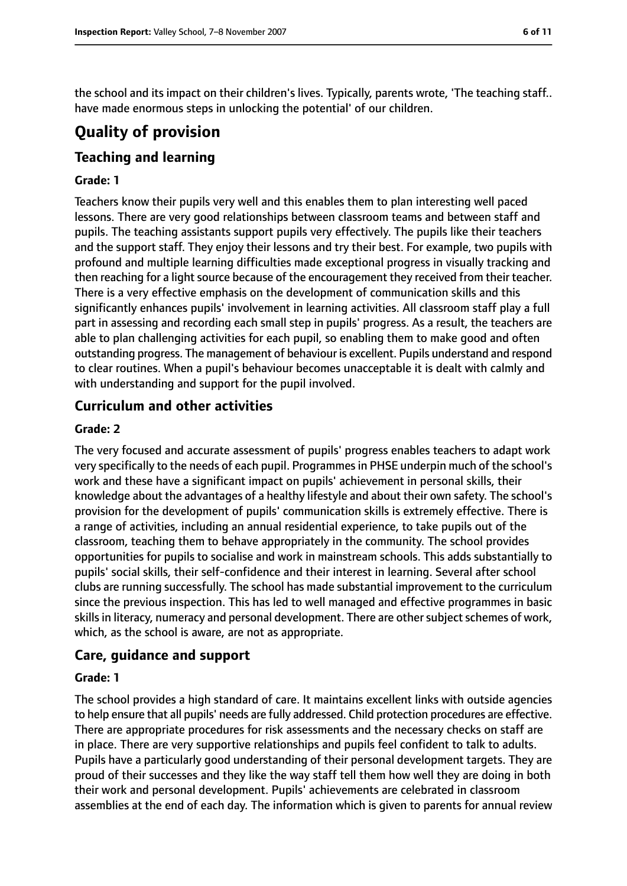the school and its impact on their children's lives. Typically, parents wrote, 'The teaching staff.. have made enormous steps in unlocking the potential' of our children.

# **Quality of provision**

# **Teaching and learning**

#### **Grade: 1**

Teachers know their pupils very well and this enables them to plan interesting well paced lessons. There are very good relationships between classroom teams and between staff and pupils. The teaching assistants support pupils very effectively. The pupils like their teachers and the support staff. They enjoy their lessons and try their best. For example, two pupils with profound and multiple learning difficulties made exceptional progress in visually tracking and then reaching for a light source because of the encouragement they received from their teacher. There is a very effective emphasis on the development of communication skills and this significantly enhances pupils' involvement in learning activities. All classroom staff play a full part in assessing and recording each small step in pupils' progress. As a result, the teachers are able to plan challenging activities for each pupil, so enabling them to make good and often outstanding progress. The management of behaviour is excellent. Pupils understand and respond to clear routines. When a pupil's behaviour becomes unacceptable it is dealt with calmly and with understanding and support for the pupil involved.

## **Curriculum and other activities**

#### **Grade: 2**

The very focused and accurate assessment of pupils' progress enables teachers to adapt work very specifically to the needs of each pupil. Programmesin PHSE underpin much of the school's work and these have a significant impact on pupils' achievement in personal skills, their knowledge about the advantages of a healthy lifestyle and about their own safety. The school's provision for the development of pupils' communication skills is extremely effective. There is a range of activities, including an annual residential experience, to take pupils out of the classroom, teaching them to behave appropriately in the community. The school provides opportunities for pupils to socialise and work in mainstream schools. This adds substantially to pupils' social skills, their self-confidence and their interest in learning. Several after school clubs are running successfully. The school has made substantial improvement to the curriculum since the previous inspection. This has led to well managed and effective programmes in basic skills in literacy, numeracy and personal development. There are other subject schemes of work, which, as the school is aware, are not as appropriate.

### **Care, guidance and support**

#### **Grade: 1**

The school provides a high standard of care. It maintains excellent links with outside agencies to help ensure that all pupils' needs are fully addressed. Child protection procedures are effective. There are appropriate procedures for risk assessments and the necessary checks on staff are in place. There are very supportive relationships and pupils feel confident to talk to adults. Pupils have a particularly good understanding of their personal development targets. They are proud of their successes and they like the way staff tell them how well they are doing in both their work and personal development. Pupils' achievements are celebrated in classroom assemblies at the end of each day. The information which is given to parents for annual review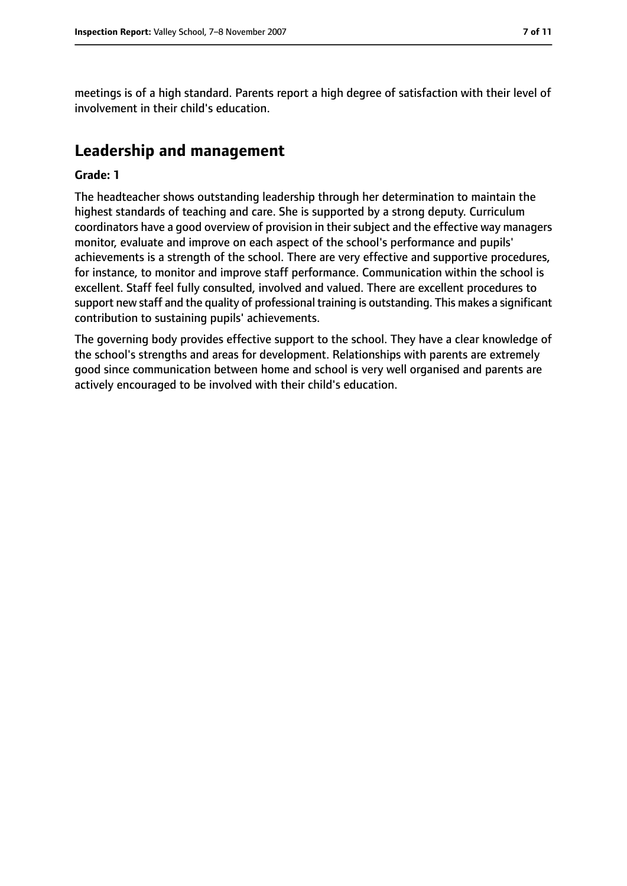meetings is of a high standard. Parents report a high degree of satisfaction with their level of involvement in their child's education.

# **Leadership and management**

#### **Grade: 1**

The headteacher shows outstanding leadership through her determination to maintain the highest standards of teaching and care. She is supported by a strong deputy. Curriculum coordinators have a good overview of provision in their subject and the effective way managers monitor, evaluate and improve on each aspect of the school's performance and pupils' achievements is a strength of the school. There are very effective and supportive procedures, for instance, to monitor and improve staff performance. Communication within the school is excellent. Staff feel fully consulted, involved and valued. There are excellent procedures to support new staff and the quality of professional training is outstanding. This makes a significant contribution to sustaining pupils' achievements.

The governing body provides effective support to the school. They have a clear knowledge of the school's strengths and areas for development. Relationships with parents are extremely good since communication between home and school is very well organised and parents are actively encouraged to be involved with their child's education.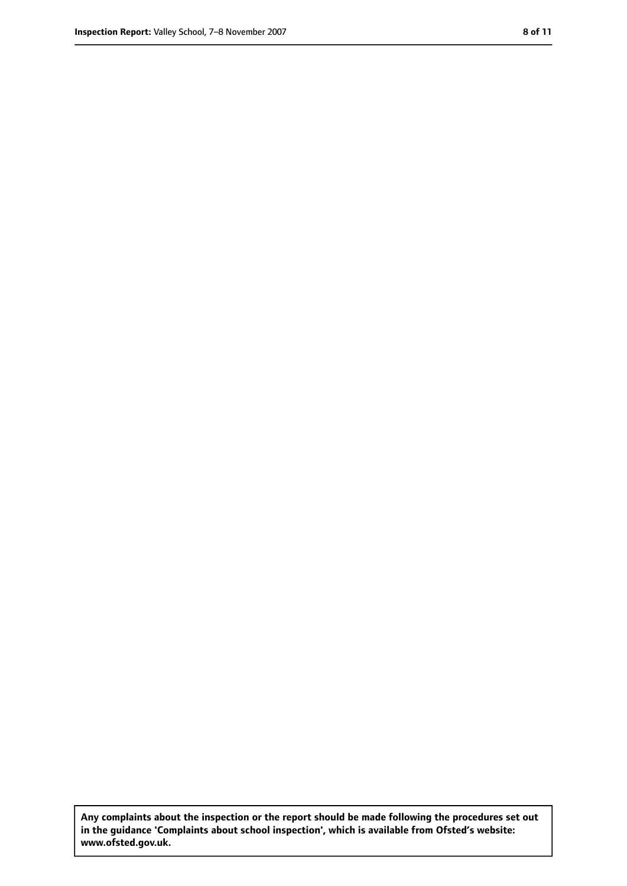**Any complaints about the inspection or the report should be made following the procedures set out in the guidance 'Complaints about school inspection', which is available from Ofsted's website: www.ofsted.gov.uk.**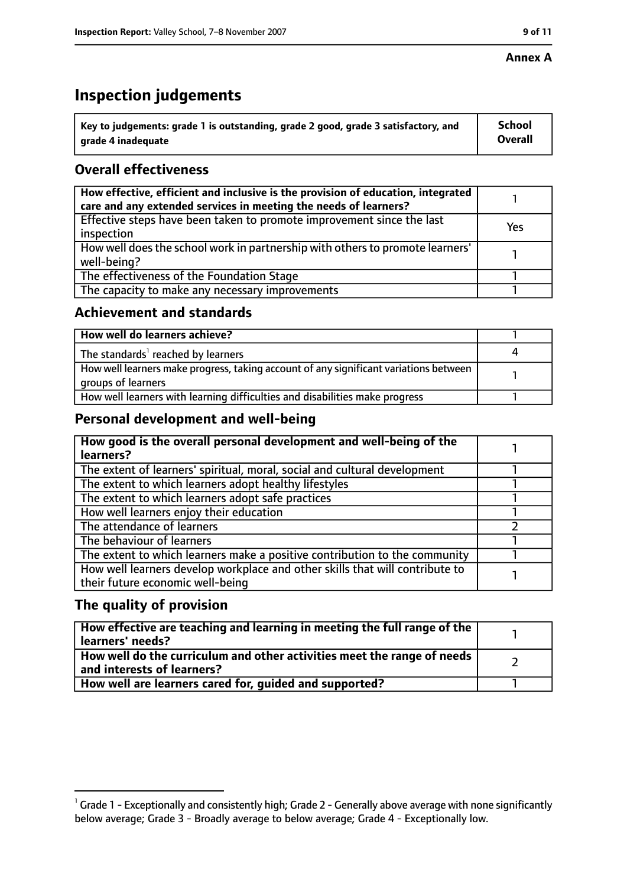#### **Annex A**

# **Inspection judgements**

| $^{\backprime}$ Key to judgements: grade 1 is outstanding, grade 2 good, grade 3 satisfactory, and | <b>School</b>  |
|----------------------------------------------------------------------------------------------------|----------------|
| arade 4 inadequate                                                                                 | <b>Overall</b> |

# **Overall effectiveness**

| How effective, efficient and inclusive is the provision of education, integrated<br>care and any extended services in meeting the needs of learners? |     |
|------------------------------------------------------------------------------------------------------------------------------------------------------|-----|
| Effective steps have been taken to promote improvement since the last<br>inspection                                                                  | Yes |
| How well does the school work in partnership with others to promote learners'<br>well-being?                                                         |     |
| The effectiveness of the Foundation Stage                                                                                                            |     |
| The capacity to make any necessary improvements                                                                                                      |     |

## **Achievement and standards**

| How well do learners achieve?                                                                               |  |
|-------------------------------------------------------------------------------------------------------------|--|
| $\mathsf I$ The standards <sup>1</sup> reached by learners                                                  |  |
| How well learners make progress, taking account of any significant variations between<br>groups of learners |  |
| How well learners with learning difficulties and disabilities make progress                                 |  |

## **Personal development and well-being**

| How good is the overall personal development and well-being of the<br>learners?                                  |  |
|------------------------------------------------------------------------------------------------------------------|--|
| The extent of learners' spiritual, moral, social and cultural development                                        |  |
| The extent to which learners adopt healthy lifestyles                                                            |  |
| The extent to which learners adopt safe practices                                                                |  |
| How well learners enjoy their education                                                                          |  |
| The attendance of learners                                                                                       |  |
| The behaviour of learners                                                                                        |  |
| The extent to which learners make a positive contribution to the community                                       |  |
| How well learners develop workplace and other skills that will contribute to<br>their future economic well-being |  |

## **The quality of provision**

| How effective are teaching and learning in meeting the full range of the<br>learners' needs?          |  |
|-------------------------------------------------------------------------------------------------------|--|
| How well do the curriculum and other activities meet the range of needs<br>and interests of learners? |  |
| How well are learners cared for, quided and supported?                                                |  |

 $^1$  Grade 1 - Exceptionally and consistently high; Grade 2 - Generally above average with none significantly below average; Grade 3 - Broadly average to below average; Grade 4 - Exceptionally low.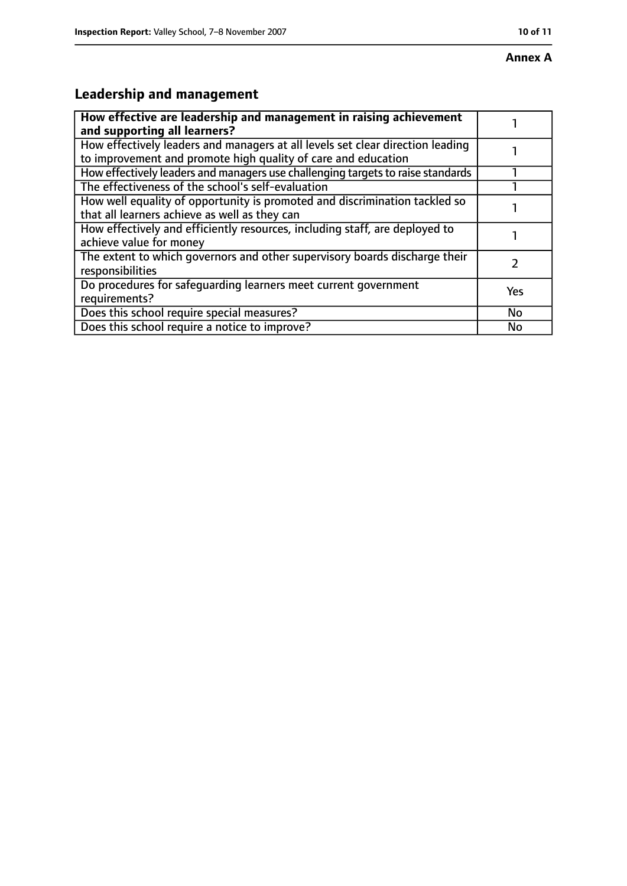# **Annex A**

# **Leadership and management**

| How effective are leadership and management in raising achievement<br>and supporting all learners?                                              |     |
|-------------------------------------------------------------------------------------------------------------------------------------------------|-----|
| How effectively leaders and managers at all levels set clear direction leading<br>to improvement and promote high quality of care and education |     |
| How effectively leaders and managers use challenging targets to raise standards                                                                 |     |
| The effectiveness of the school's self-evaluation                                                                                               |     |
| How well equality of opportunity is promoted and discrimination tackled so<br>that all learners achieve as well as they can                     |     |
| How effectively and efficiently resources, including staff, are deployed to<br>achieve value for money                                          |     |
| The extent to which governors and other supervisory boards discharge their<br>responsibilities                                                  |     |
| Do procedures for safequarding learners meet current government<br>requirements?                                                                | Yes |
| Does this school require special measures?                                                                                                      | No  |
| Does this school require a notice to improve?                                                                                                   | No  |